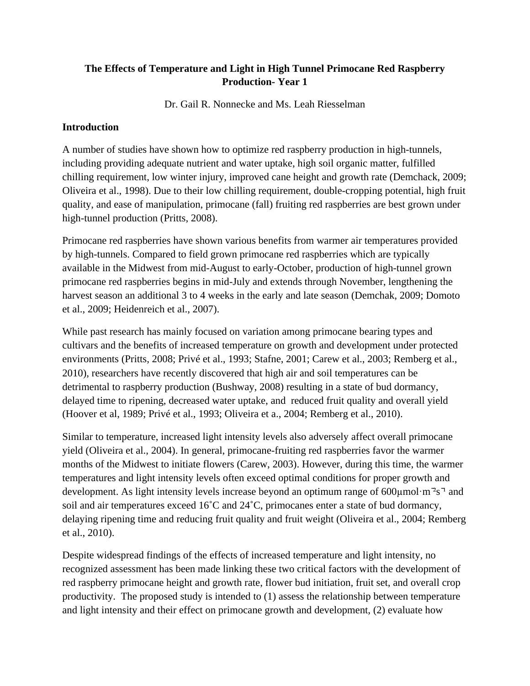## **The Effects of Temperature and Light in High Tunnel Primocane Red Raspberry Production- Year 1**

Dr. Gail R. Nonnecke and Ms. Leah Riesselman

### **Introduction**

A number of studies have shown how to optimize red raspberry production in high-tunnels, including providing adequate nutrient and water uptake, high soil organic matter, fulfilled chilling requirement, low winter injury, improved cane height and growth rate (Demchack, 2009; Oliveira et al., 1998). Due to their low chilling requirement, double-cropping potential, high fruit quality, and ease of manipulation, primocane (fall) fruiting red raspberries are best grown under high-tunnel production (Pritts, 2008).

Primocane red raspberries have shown various benefits from warmer air temperatures provided by high-tunnels. Compared to field grown primocane red raspberries which are typically available in the Midwest from mid-August to early-October, production of high-tunnel grown primocane red raspberries begins in mid-July and extends through November, lengthening the harvest season an additional 3 to 4 weeks in the early and late season (Demchak, 2009; Domoto et al., 2009; Heidenreich et al., 2007).

While past research has mainly focused on variation among primocane bearing types and cultivars and the benefits of increased temperature on growth and development under protected environments (Pritts, 2008; Privé et al., 1993; Stafne, 2001; Carew et al., 2003; Remberg et al., 2010), researchers have recently discovered that high air and soil temperatures can be detrimental to raspberry production (Bushway, 2008) resulting in a state of bud dormancy, delayed time to ripening, decreased water uptake, and reduced fruit quality and overall yield (Hoover et al, 1989; Privé et al., 1993; Oliveira et a., 2004; Remberg et al., 2010).

Similar to temperature, increased light intensity levels also adversely affect overall primocane yield (Oliveira et al., 2004). In general, primocane-fruiting red raspberries favor the warmer months of the Midwest to initiate flowers (Carew, 2003). However, during this time, the warmer temperatures and light intensity levels often exceed optimal conditions for proper growth and development. As light intensity levels increase beyond an optimum range of  $600 \mu$ mol·m<sup>2</sup>s<sup>-1</sup> and soil and air temperatures exceed 16˚C and 24˚C, primocanes enter a state of bud dormancy, delaying ripening time and reducing fruit quality and fruit weight (Oliveira et al., 2004; Remberg et al., 2010).

Despite widespread findings of the effects of increased temperature and light intensity, no recognized assessment has been made linking these two critical factors with the development of red raspberry primocane height and growth rate, flower bud initiation, fruit set, and overall crop productivity. The proposed study is intended to (1) assess the relationship between temperature and light intensity and their effect on primocane growth and development, (2) evaluate how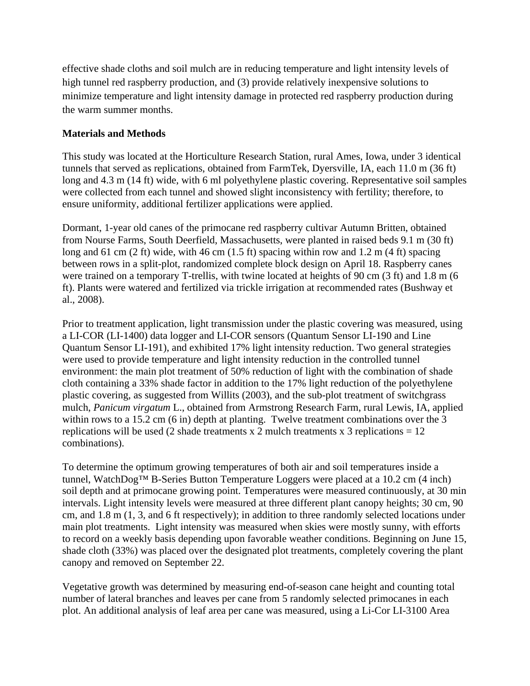effective shade cloths and soil mulch are in reducing temperature and light intensity levels of high tunnel red raspberry production, and (3) provide relatively inexpensive solutions to minimize temperature and light intensity damage in protected red raspberry production during the warm summer months.

### **Materials and Methods**

This study was located at the Horticulture Research Station, rural Ames, Iowa, under 3 identical tunnels that served as replications, obtained from FarmTek, Dyersville, IA, each 11.0 m (36 ft) long and 4.3 m (14 ft) wide, with 6 ml polyethylene plastic covering. Representative soil samples were collected from each tunnel and showed slight inconsistency with fertility; therefore, to ensure uniformity, additional fertilizer applications were applied.

Dormant, 1-year old canes of the primocane red raspberry cultivar Autumn Britten, obtained from Nourse Farms, South Deerfield, Massachusetts, were planted in raised beds 9.1 m (30 ft) long and 61 cm (2 ft) wide, with 46 cm (1.5 ft) spacing within row and 1.2 m (4 ft) spacing between rows in a split-plot, randomized complete block design on April 18. Raspberry canes were trained on a temporary T-trellis, with twine located at heights of 90 cm (3 ft) and 1.8 m (6 ft). Plants were watered and fertilized via trickle irrigation at recommended rates (Bushway et al., 2008).

Prior to treatment application, light transmission under the plastic covering was measured, using a LI-COR (LI-1400) data logger and LI-COR sensors (Quantum Sensor LI-190 and Line Quantum Sensor LI-191), and exhibited 17% light intensity reduction. Two general strategies were used to provide temperature and light intensity reduction in the controlled tunnel environment: the main plot treatment of 50% reduction of light with the combination of shade cloth containing a 33% shade factor in addition to the 17% light reduction of the polyethylene plastic covering, as suggested from Willits (2003), and the sub-plot treatment of switchgrass mulch, *Panicum virgatum* L., obtained from Armstrong Research Farm, rural Lewis, IA, applied within rows to a 15.2 cm (6 in) depth at planting. Twelve treatment combinations over the 3 replications will be used (2 shade treatments x 2 mulch treatments x 3 replications  $= 12$ combinations).

To determine the optimum growing temperatures of both air and soil temperatures inside a tunnel, WatchDog™ B-Series Button Temperature Loggers were placed at a 10.2 cm (4 inch) soil depth and at primocane growing point. Temperatures were measured continuously, at 30 min intervals. Light intensity levels were measured at three different plant canopy heights; 30 cm, 90 cm, and 1.8 m (1, 3, and 6 ft respectively); in addition to three randomly selected locations under main plot treatments. Light intensity was measured when skies were mostly sunny, with efforts to record on a weekly basis depending upon favorable weather conditions. Beginning on June 15, shade cloth (33%) was placed over the designated plot treatments, completely covering the plant canopy and removed on September 22.

Vegetative growth was determined by measuring end-of-season cane height and counting total number of lateral branches and leaves per cane from 5 randomly selected primocanes in each plot. An additional analysis of leaf area per cane was measured, using a Li-Cor LI-3100 Area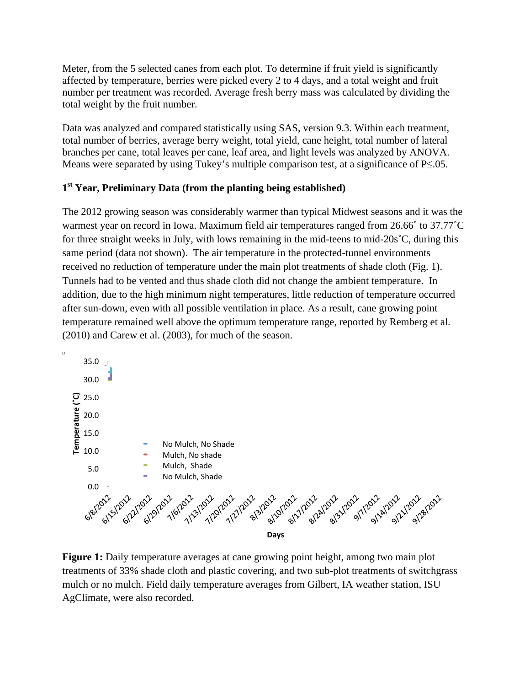Meter, from the 5 selected canes from each plot. To determine if fruit yield is significantly affected by temperature, berries were picked every 2 to 4 days, and a total weight and fruit number per treatment was recorded. Average fresh berry mass was calculated by dividing the total weight by the fruit number.

Data was analyzed and compared statistically using SAS, version 9.3. Within each treatment, total number of berries, average berry weight, total yield, cane height, total number of lateral branches per cane, total leaves per cane, leaf area, and light levels was analyzed by ANOVA. Means were separated by using Tukey's multiple comparison test, at a significance of P≤.05.

# **1st Year, Preliminary Data (from the planting being established)**

The 2012 growing season was considerably warmer than typical Midwest seasons and it was the warmest year on record in Iowa. Maximum field air temperatures ranged from 26.66˚ to 37.77˚C for three straight weeks in July, with lows remaining in the mid-teens to mid-20s˚C, during this same period (data not shown). The air temperature in the protected-tunnel environments received no reduction of temperature under the main plot treatments of shade cloth (Fig. 1). Tunnels had to be vented and thus shade cloth did not change the ambient temperature. In addition, due to the high minimum night temperatures, little reduction of temperature occurred after sun-down, even with all possible ventilation in place. As a result, cane growing point temperature remained well above the optimum temperature range, reported by Remberg et al. (2010) and Carew et al. (2003), for much of the season.



**Figure 1:** Daily temperature averages at cane growing point height, among two main plot treatments of 33% shade cloth and plastic covering, and two sub-plot treatments of switchgrass mulch or no mulch. Field daily temperature averages from Gilbert, IA weather station, ISU AgClimate, were also recorded.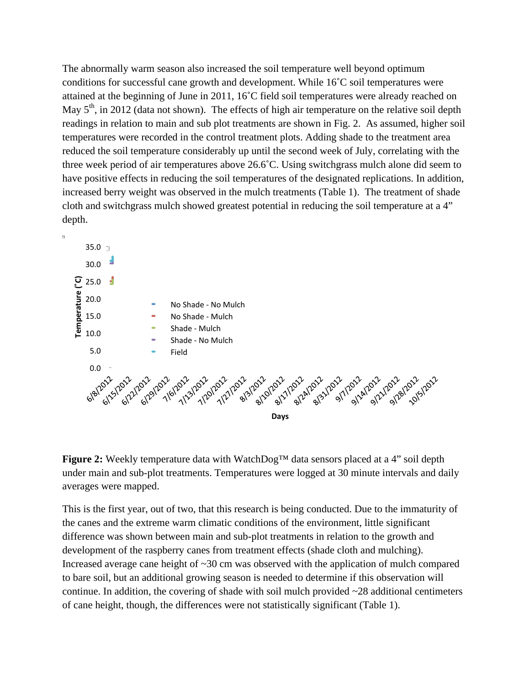The abnormally warm season also increased the soil temperature well beyond optimum conditions for successful cane growth and development. While 16˚C soil temperatures were attained at the beginning of June in 2011, 16˚C field soil temperatures were already reached on May  $5<sup>th</sup>$ , in 2012 (data not shown). The effects of high air temperature on the relative soil depth readings in relation to main and sub plot treatments are shown in Fig. 2. As assumed, higher soil temperatures were recorded in the control treatment plots. Adding shade to the treatment area reduced the soil temperature considerably up until the second week of July, correlating with the three week period of air temperatures above 26.6˚C. Using switchgrass mulch alone did seem to have positive effects in reducing the soil temperatures of the designated replications. In addition, increased berry weight was observed in the mulch treatments (Table 1). The treatment of shade cloth and switchgrass mulch showed greatest potential in reducing the soil temperature at a 4" depth.



**Figure 2:** Weekly temperature data with WatchDog™ data sensors placed at a 4" soil depth under main and sub-plot treatments. Temperatures were logged at 30 minute intervals and daily averages were mapped.

This is the first year, out of two, that this research is being conducted. Due to the immaturity of the canes and the extreme warm climatic conditions of the environment, little significant difference was shown between main and sub-plot treatments in relation to the growth and development of the raspberry canes from treatment effects (shade cloth and mulching). Increased average cane height of  $\sim 30$  cm was observed with the application of mulch compared to bare soil, but an additional growing season is needed to determine if this observation will continue. In addition, the covering of shade with soil mulch provided  $\sim$ 28 additional centimeters of cane height, though, the differences were not statistically significant (Table 1).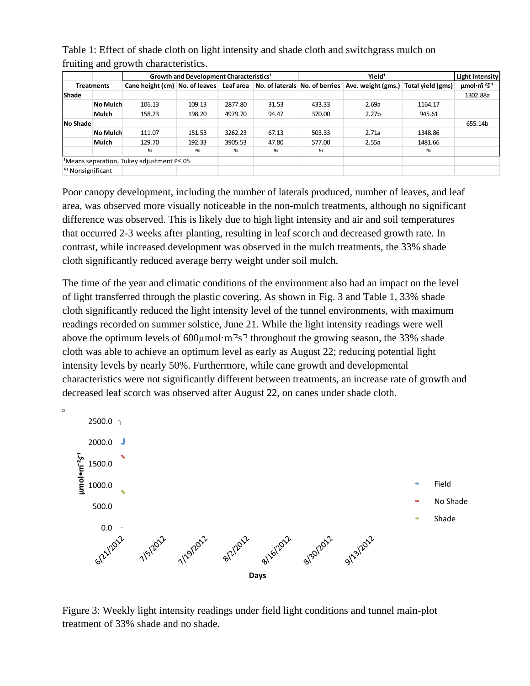| ັ                                                       | ັ               |                                                     |        |           |       |                                |                    |                   |                        |
|---------------------------------------------------------|-----------------|-----------------------------------------------------|--------|-----------|-------|--------------------------------|--------------------|-------------------|------------------------|
|                                                         |                 | Growth and Development Characteristics <sup>1</sup> |        |           |       | Yield <sup>1</sup>             |                    |                   | <b>Light Intensity</b> |
| <b>Treatments</b>                                       |                 | Cane height (cm) No. of leaves                      |        | Leaf area |       | No. of laterals No. of berries | Ave. weight (gms.) | Total yield (gms) | $\mu$ mol·m $251$      |
| <b>Shade</b>                                            |                 |                                                     |        |           |       |                                |                    |                   | 1302.88a               |
|                                                         | <b>No Mulch</b> | 106.13                                              | 109.13 | 2877.80   | 31.53 | 433.33                         | 2.69a              | 1164.17           |                        |
|                                                         | Mulch           | 158.23                                              | 198.20 | 4979.70   | 94.47 | 370.00                         | 2.27 <sub>b</sub>  | 945.61            |                        |
| No Shade                                                |                 |                                                     |        |           |       |                                |                    |                   | 655.14b                |
|                                                         | <b>No Mulch</b> | 111.07                                              | 151.53 | 3262.23   | 67.13 | 503.33                         | 2.71a              | 1348.86           |                        |
|                                                         | Mulch           | 129.70                                              | 192.33 | 3905.53   | 47.80 | 577.00                         | 2.55a              | 1481.66           |                        |
|                                                         |                 | Ns                                                  | Ns     | Ns        | Ns    | Ns                             |                    | Ns                |                        |
| <sup>1</sup> Means separation, Tukey adjustment P  s.05 |                 |                                                     |        |           |       |                                |                    |                   |                        |
| N <sub>s</sub> Nonsignificant                           |                 |                                                     |        |           |       |                                |                    |                   |                        |

Table 1: Effect of shade cloth on light intensity and shade cloth and switchgrass mulch on fruiting and growth characteristics.

Poor canopy development, including the number of laterals produced, number of leaves, and leaf area, was observed more visually noticeable in the non-mulch treatments, although no significant difference was observed. This is likely due to high light intensity and air and soil temperatures that occurred 2-3 weeks after planting, resulting in leaf scorch and decreased growth rate. In contrast, while increased development was observed in the mulch treatments, the 33% shade cloth significantly reduced average berry weight under soil mulch.

The time of the year and climatic conditions of the environment also had an impact on the level of light transferred through the plastic covering. As shown in Fig. 3 and Table 1, 33% shade cloth significantly reduced the light intensity level of the tunnel environments, with maximum readings recorded on summer solstice, June 21. While the light intensity readings were well above the optimum levels of  $600 \mu$ mol·m<sup>2</sup>s<sup>-1</sup> throughout the growing season, the 33% shade cloth was able to achieve an optimum level as early as August 22; reducing potential light intensity levels by nearly 50%. Furthermore, while cane growth and developmental characteristics were not significantly different between treatments, an increase rate of growth and decreased leaf scorch was observed after August 22, on canes under shade cloth.



Figure 3: Weekly light intensity readings under field light conditions and tunnel main-plot treatment of 33% shade and no shade.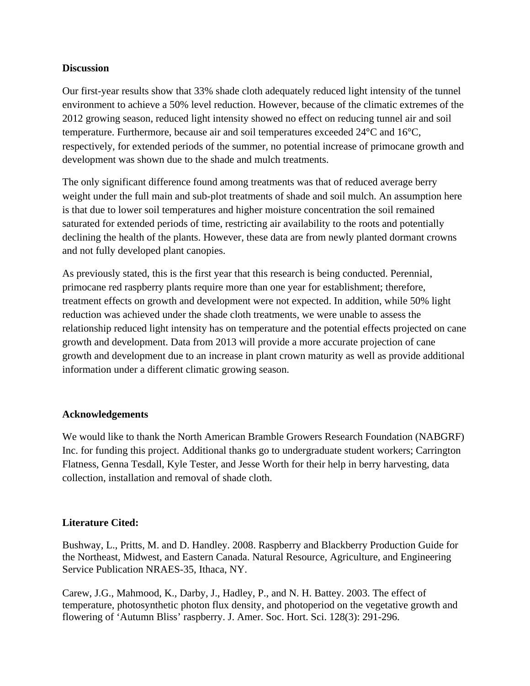#### **Discussion**

Our first-year results show that 33% shade cloth adequately reduced light intensity of the tunnel environment to achieve a 50% level reduction. However, because of the climatic extremes of the 2012 growing season, reduced light intensity showed no effect on reducing tunnel air and soil temperature. Furthermore, because air and soil temperatures exceeded 24°C and 16°C, respectively, for extended periods of the summer, no potential increase of primocane growth and development was shown due to the shade and mulch treatments.

The only significant difference found among treatments was that of reduced average berry weight under the full main and sub-plot treatments of shade and soil mulch. An assumption here is that due to lower soil temperatures and higher moisture concentration the soil remained saturated for extended periods of time, restricting air availability to the roots and potentially declining the health of the plants. However, these data are from newly planted dormant crowns and not fully developed plant canopies.

As previously stated, this is the first year that this research is being conducted. Perennial, primocane red raspberry plants require more than one year for establishment; therefore, treatment effects on growth and development were not expected. In addition, while 50% light reduction was achieved under the shade cloth treatments, we were unable to assess the relationship reduced light intensity has on temperature and the potential effects projected on cane growth and development. Data from 2013 will provide a more accurate projection of cane growth and development due to an increase in plant crown maturity as well as provide additional information under a different climatic growing season.

### **Acknowledgements**

We would like to thank the North American Bramble Growers Research Foundation (NABGRF) Inc. for funding this project. Additional thanks go to undergraduate student workers; Carrington Flatness, Genna Tesdall, Kyle Tester, and Jesse Worth for their help in berry harvesting, data collection, installation and removal of shade cloth.

### **Literature Cited:**

Bushway, L., Pritts, M. and D. Handley. 2008. Raspberry and Blackberry Production Guide for the Northeast, Midwest, and Eastern Canada. Natural Resource, Agriculture, and Engineering Service Publication NRAES-35, Ithaca, NY.

Carew, J.G., Mahmood, K., Darby, J., Hadley, P., and N. H. Battey. 2003. The effect of temperature, photosynthetic photon flux density, and photoperiod on the vegetative growth and flowering of 'Autumn Bliss' raspberry. J. Amer. Soc. Hort. Sci. 128(3): 291-296.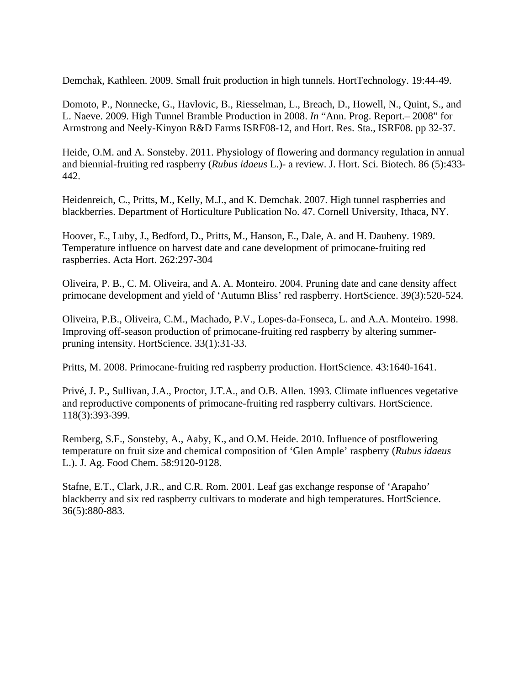Demchak, Kathleen. 2009. Small fruit production in high tunnels. HortTechnology. 19:44-49.

Domoto, P., Nonnecke, G., Havlovic, B., Riesselman, L., Breach, D., Howell, N., Quint, S., and L. Naeve. 2009. High Tunnel Bramble Production in 2008. *In* "Ann. Prog. Report.– 2008" for Armstrong and Neely-Kinyon R&D Farms ISRF08-12, and Hort. Res. Sta., ISRF08. pp 32-37.

Heide, O.M. and A. Sonsteby. 2011. Physiology of flowering and dormancy regulation in annual and biennial-fruiting red raspberry (*Rubus idaeus* L.)- a review. J. Hort. Sci. Biotech. 86 (5):433- 442.

Heidenreich, C., Pritts, M., Kelly, M.J., and K. Demchak. 2007. High tunnel raspberries and blackberries. Department of Horticulture Publication No. 47. Cornell University, Ithaca, NY.

Hoover, E., Luby, J., Bedford, D., Pritts, M., Hanson, E., Dale, A. and H. Daubeny. 1989. Temperature influence on harvest date and cane development of primocane-fruiting red raspberries. Acta Hort. 262:297-304

Oliveira, P. B., C. M. Oliveira, and A. A. Monteiro. 2004. Pruning date and cane density affect primocane development and yield of 'Autumn Bliss' red raspberry. HortScience. 39(3):520-524.

Oliveira, P.B., Oliveira, C.M., Machado, P.V., Lopes-da-Fonseca, L. and A.A. Monteiro. 1998. Improving off-season production of primocane-fruiting red raspberry by altering summerpruning intensity. HortScience. 33(1):31-33.

Pritts, M. 2008. Primocane-fruiting red raspberry production. HortScience. 43:1640-1641.

Privé, J. P., Sullivan, J.A., Proctor, J.T.A., and O.B. Allen. 1993. Climate influences vegetative and reproductive components of primocane-fruiting red raspberry cultivars. HortScience. 118(3):393-399.

Remberg, S.F., Sonsteby, A., Aaby, K., and O.M. Heide. 2010. Influence of postflowering temperature on fruit size and chemical composition of 'Glen Ample' raspberry (*Rubus idaeus* L.). J. Ag. Food Chem. 58:9120-9128.

Stafne, E.T., Clark, J.R., and C.R. Rom. 2001. Leaf gas exchange response of 'Arapaho' blackberry and six red raspberry cultivars to moderate and high temperatures. HortScience. 36(5):880-883.